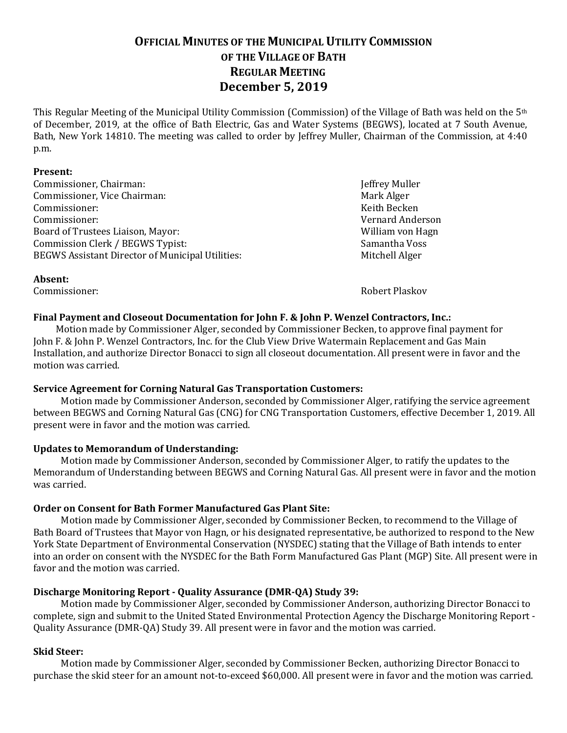# **OFFICIAL MINUTES OF THE MUNICIPAL UTILITY COMMISSION OF THE VILLAGE OF BATH REGULAR MEETING December 5, 2019**

This Regular Meeting of the Municipal Utility Commission (Commission) of the Village of Bath was held on the 5th of December, 2019, at the office of Bath Electric, Gas and Water Systems (BEGWS), located at 7 South Avenue, Bath, New York 14810. The meeting was called to order by Jeffrey Muller, Chairman of the Commission, at 4:40 p.m.

#### **Present:**

**Absent:**

Commissioner, Chairman: Jeffrey Muller<br>
Commissioner, Vice Chairman: Jeffrey Muller<br>
Mark Alger Commissioner, Vice Chairman: Mark Alger Mark Alger<br>
Commissioner: Mark Alger<br>
Mark Alger Commissioner: Keith Becken Commissioner: Vernard Anderson Board of Trustees Liaison, Mayor: William von Hagnomission Clerk / BEGWS Typist: William von Hagnomission Clerk / BEGWS Typist: Commission Clerk / BEGWS Typist:<br>BEGWS Assistant Director of Municipal Utilities: Mitchell Alger BEGWS Assistant Director of Municipal Utilities:

Commissioner: Robert Plaskov

#### **Final Payment and Closeout Documentation for John F. & John P. Wenzel Contractors, Inc.:**

Motion made by Commissioner Alger, seconded by Commissioner Becken, to approve final payment for John F. & John P. Wenzel Contractors, Inc. for the Club View Drive Watermain Replacement and Gas Main Installation, and authorize Director Bonacci to sign all closeout documentation. All present were in favor and the motion was carried.

#### **Service Agreement for Corning Natural Gas Transportation Customers:**

Motion made by Commissioner Anderson, seconded by Commissioner Alger, ratifying the service agreement between BEGWS and Corning Natural Gas (CNG) for CNG Transportation Customers, effective December 1, 2019. All present were in favor and the motion was carried.

#### **Updates to Memorandum of Understanding:**

Motion made by Commissioner Anderson, seconded by Commissioner Alger, to ratify the updates to the Memorandum of Understanding between BEGWS and Corning Natural Gas. All present were in favor and the motion was carried.

#### **Order on Consent for Bath Former Manufactured Gas Plant Site:**

Motion made by Commissioner Alger, seconded by Commissioner Becken, to recommend to the Village of Bath Board of Trustees that Mayor von Hagn, or his designated representative, be authorized to respond to the New York State Department of Environmental Conservation (NYSDEC) stating that the Village of Bath intends to enter into an order on consent with the NYSDEC for the Bath Form Manufactured Gas Plant (MGP) Site. All present were in favor and the motion was carried.

#### **Discharge Monitoring Report - Quality Assurance (DMR-QA) Study 39:**

Motion made by Commissioner Alger, seconded by Commissioner Anderson, authorizing Director Bonacci to complete, sign and submit to the United Stated Environmental Protection Agency the Discharge Monitoring Report - Quality Assurance (DMR-QA) Study 39. All present were in favor and the motion was carried.

### **Skid Steer:**

Motion made by Commissioner Alger, seconded by Commissioner Becken, authorizing Director Bonacci to purchase the skid steer for an amount not-to-exceed \$60,000. All present were in favor and the motion was carried.